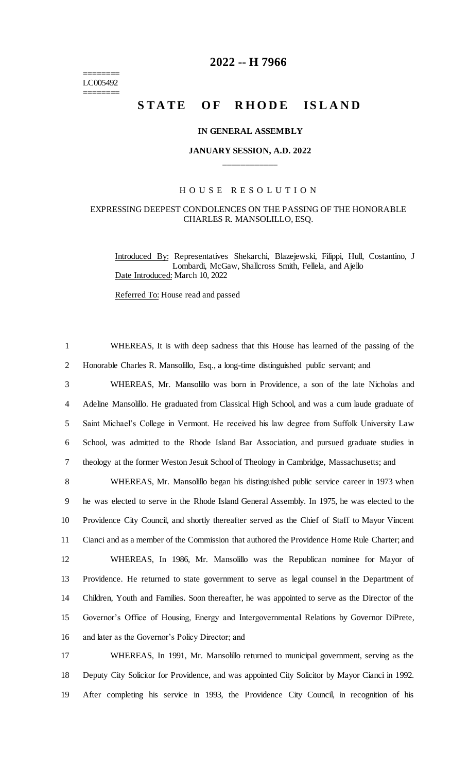======== LC005492 ========

# **2022 -- H 7966**

# STATE OF RHODE ISLAND

#### **IN GENERAL ASSEMBLY**

## **JANUARY SESSION, A.D. 2022 \_\_\_\_\_\_\_\_\_\_\_\_**

#### H O U S E R E S O L U T I O N

### EXPRESSING DEEPEST CONDOLENCES ON THE PASSING OF THE HONORABLE CHARLES R. MANSOLILLO, ESQ.

Introduced By: Representatives Shekarchi, Blazejewski, Filippi, Hull, Costantino, J Lombardi, McGaw, Shallcross Smith, Fellela, and Ajello Date Introduced: March 10, 2022

Referred To: House read and passed

 WHEREAS, It is with deep sadness that this House has learned of the passing of the Honorable Charles R. Mansolillo, Esq., a long-time distinguished public servant; and WHEREAS, Mr. Mansolillo was born in Providence, a son of the late Nicholas and Adeline Mansolillo. He graduated from Classical High School, and was a cum laude graduate of Saint Michael's College in Vermont. He received his law degree from Suffolk University Law School, was admitted to the Rhode Island Bar Association, and pursued graduate studies in theology at the former Weston Jesuit School of Theology in Cambridge, Massachusetts; and WHEREAS, Mr. Mansolillo began his distinguished public service career in 1973 when

 he was elected to serve in the Rhode Island General Assembly. In 1975, he was elected to the Providence City Council, and shortly thereafter served as the Chief of Staff to Mayor Vincent Cianci and as a member of the Commission that authored the Providence Home Rule Charter; and WHEREAS, In 1986, Mr. Mansolillo was the Republican nominee for Mayor of Providence. He returned to state government to serve as legal counsel in the Department of Children, Youth and Families. Soon thereafter, he was appointed to serve as the Director of the Governor's Office of Housing, Energy and Intergovernmental Relations by Governor DiPrete, and later as the Governor's Policy Director; and

17 WHEREAS, In 1991, Mr. Mansolillo returned to municipal government, serving as the 18 Deputy City Solicitor for Providence, and was appointed City Solicitor by Mayor Cianci in 1992. 19 After completing his service in 1993, the Providence City Council, in recognition of his